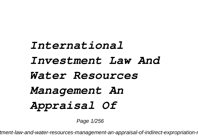## *International Investment Law And Water Resources Management An Appraisal Of*

Page 1/256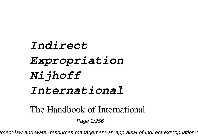## *Indirect Expropriation Nijhoff International*

The Handbook of International

Page 2/256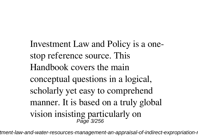Investment Law and Policy is a onestop reference source. This Handbook covers the main conceptual questions in a logical, scholarly yet easy to comprehend manner. It is based on a truly global vision insisting particularly on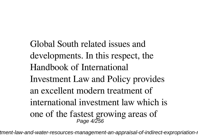Global South related issues and developments. In this respect, the Handbook of International Investment Law and Policy provides an excellent modern treatment of international investment law which is one of the fastest growing areas of Page 4/256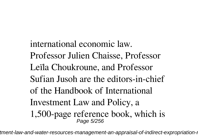international economic law. Professor Julien Chaisse, Professor Leïla Choukroune, and Professor Sufian Jusoh are the editors-in-chief of the Handbook of International Investment Law and Policy, a 1,500-page reference book, which is Page 5/256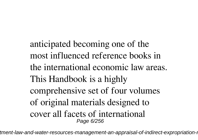anticipated becoming one of the most influenced reference books in the international economic law areas. This Handbook is a highly comprehensive set of four volumes of original materials designed to cover all facets of international Page 6/256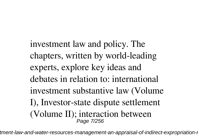investment law and policy. The chapters, written by world-leading experts, explore key ideas and debates in relation to: international investment substantive law (Volume I), Investor-state dispute settlement (Volume II); interaction between Page 7/256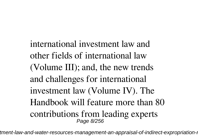international investment law and other fields of international law (Volume III); and, the new trends and challenges for international investment law (Volume IV). The Handbook will feature more than 80 contributions from leading experts Page 8/256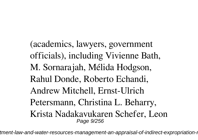(academics, lawyers, government officials), including Vivienne Bath, M. Sornarajah, Mélida Hodgson, Rahul Donde, Roberto Echandi, Andrew Mitchell, Ernst-Ulrich Petersmann, Christina L. Beharry, Krista Nadakavukaren Schefer, Leon Page 9/256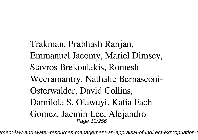Trakman, Prabhash Ranjan, Emmanuel Jacomy, Mariel Dimsey, Stavros Brekoulakis, Romesh Weeramantry, Nathalie Bernasconi-Osterwalder, David Collins, Damilola S. Olawuyi, Katia Fach Gomez, Jaemin Lee, Alejandro Page 10/256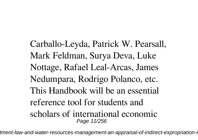Carballo-Leyda, Patrick W. Pearsall, Mark Feldman, Surya Deva, Luke Nottage, Rafael Leal-Arcas, James Nedumpara, Rodrigo Polanco, etc. This Handbook will be an essential reference tool for students and scholars of international economic Page 11/256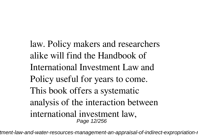law. Policy makers and researchers alike will find the Handbook of International Investment Law and Policy useful for years to come. This book offers a systematic analysis of the interaction between international investment law, Page 12/256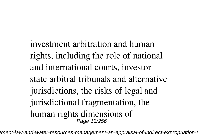investment arbitration and human rights, including the role of national and international courts, investorstate arbitral tribunals and alternative jurisdictions, the risks of legal and jurisdictional fragmentation, the human rights dimensions of Page 13/256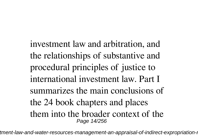investment law and arbitration, and the relationships of substantive and procedural principles of justice to international investment law. Part I summarizes the main conclusions of the 24 book chapters and places them into the broader context of the Page 14/256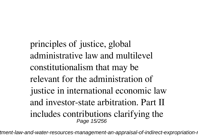principles of justice, global administrative law and multilevel constitutionalism that may be relevant for the administration of justice in international economic law and investor-state arbitration. Part II includes contributions clarifying the Page 15/256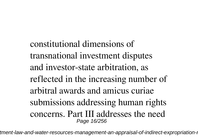constitutional dimensions of transnational investment disputes and investor-state arbitration, as reflected in the increasing number of arbitral awards and amicus curiae submissions addressing human rights concerns. Part III addresses the need Page 16/256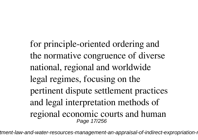for principle-oriented ordering and the normative congruence of diverse national, regional and worldwide legal regimes, focusing on the pertinent dispute settlement practices and legal interpretation methods of regional economic courts and human Page 17/256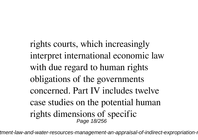rights courts, which increasingly interpret international economic law with due regard to human rights obligations of the governments concerned. Part IV includes twelve case studies on the potential human rights dimensions of specific Page 18/256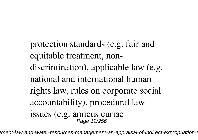protection standards (e.g. fair and equitable treatment, nondiscrimination), applicable law (e.g. national and international human rights law, rules on corporate social accountability), procedural law issues (e.g. amicus curiae Page 19/256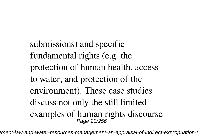submissions) and specific fundamental rights (e.g. the protection of human health, access to water, and protection of the environment). These case studies discuss not only the still limited examples of human rights discourse Page 20/256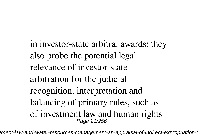in investor-state arbitral awards; they also probe the potential legal relevance of investor-state arbitration for the judicial recognition, interpretation and balancing of primary rules, such as of investment law and human rights Page 21/256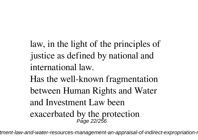law, in the light of the principles of justice as defined by national and international law. Has the well-known fragmentation between Human Rights and Water and Investment Law been

exacerbated by the protection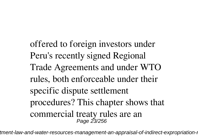offered to foreign investors under Peru's recently signed Regional Trade Agreements and under WTO rules, both enforceable under their specific dispute settlement procedures? This chapter shows that commercial treaty rules are an Page 23/256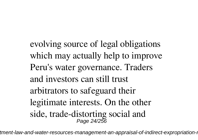evolving source of legal obligations which may actually help to improve Peru's water governance. Traders and investors can still trust arbitrators to safeguard their legitimate interests. On the other side, trade-distorting social and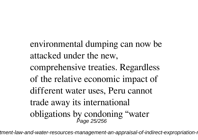environmental dumping can now be attacked under the new,

comprehensive treaties. Regardless of the relative economic impact of different water uses, Peru cannot trade away its international obligations by condoning "water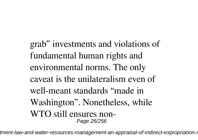grab" investments and violations of fundamental human rights and environmental norms. The only caveat is the unilateralism even of well-meant standards "made in Washington". Nonetheless, while WTO still ensures non-Page 26/256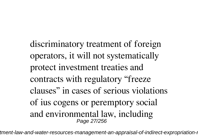discriminatory treatment of foreign operators, it will not systematically protect investment treaties and contracts with regulatory "freeze clauses" in cases of serious violations of ius cogens or peremptory social and environmental law, including Page 27/256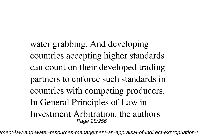water grabbing. And developing countries accepting higher standards can count on their developed trading partners to enforce such standards in countries with competing producers. In General Principles of Law in Investment Arbitration, the authors Page 28/256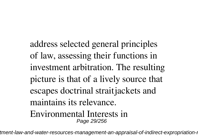address selected general principles of law, assessing their functions in investment arbitration. The resulting picture is that of a lively source that escapes doctrinal straitjackets and maintains its relevance. Environmental Interests in Page 29/256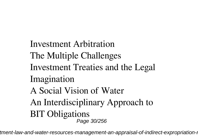Investment Arbitration The Multiple Challenges Investment Treaties and the Legal Imagination A Social Vision of Water An Interdisciplinary Approach to BIT Obligations Page 30/256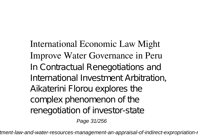International Economic Law Might Improve Water Governance in Peru In Contractual Renegotiations and International Investment Arbitration, Aikaterini Florou explores the complex phenomenon of the renegotiation of investor-state Page 31/256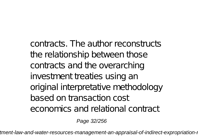contracts. The author reconstructs the relationship between those contracts and the overarching investment treaties using an original interpretative methodology based on transaction cost economics and relational contract

Page 32/256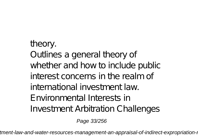## theory. Outlines a general theory of whether and how to include public interest concerns in the realm of international investment law. Environmental Interests in Investment Arbitration Challenges

Page 33/256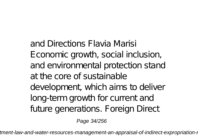and Directions Flavia Marisi Economic growth, social inclusion, and environmental protection stand at the core of sustainable development, which aims to deliver long-term growth for current and future generations. Foreign Direct

Page 34/256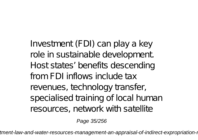Investment (FDI) can play a key role in sustainable development. Host states' benefits descending from FDI inflows include tax revenues, technology transfer, specialised training of local human resources, network with satellite

Page 35/256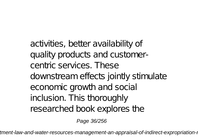activities, better availability of quality products and customercentric services. These downstream effects jointly stimulate economic growth and social inclusion. This thoroughly researched book explores the

Page 36/256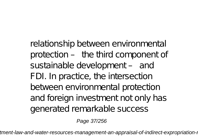relationship between environmental protection – the third component of sustainable development - and FDI. In practice, the intersection between environmental protection and foreign investment not only has generated remarkable success

Page 37/256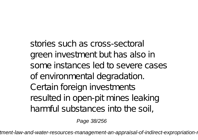stories such as cross-sectoral green investment but has also in some instances led to severe cases of environmental degradation. Certain foreign investments resulted in open-pit mines leaking harmful substances into the soil,

Page 38/256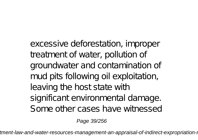excessive deforestation, improper treatment of water, pollution of groundwater and contamination of mud pits following oil exploitation, leaving the host state with significant environmental damage. Some other cases have witnessed

Page 39/256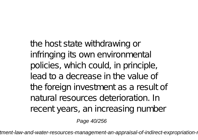the host state withdrawing or infringing its own environmental policies, which could, in principle, lead to a decrease in the value of the foreign investment as a result of natural resources deterioration. In recent years, an increasing number

Page 40/256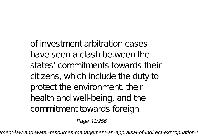of investment arbitration cases have seen a clash between the states' commitments towards their citizens, which include the duty to protect the environment, their health and well-being, and the commitment towards foreign

Page 41/256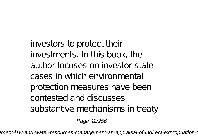investors to protect their investments. In this book, the author focuses on investor-state cases in which environmental protection measures have been contested and discusses substantive mechanisms in treaty

Page 42/256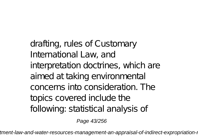drafting, rules of Customary International Law, and interpretation doctrines, which are aimed at taking environmental concerns into consideration. The topics covered include the following: statistical analysis of

Page 43/256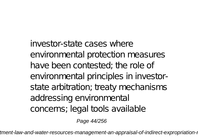investor-state cases where environmental protection measures have been contested; the role of environmental principles in investorstate arbitration; treaty mechanisms addressing environmental concerns; legal tools available

Page 44/256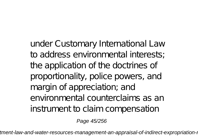under Customary International Law to address environmental interests; the application of the doctrines of proportionality, police powers, and margin of appreciation; and environmental counterclaims as an instrument to claim compensation

Page 45/256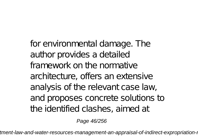for environmental damage. The author provides a detailed framework on the normative architecture, offers an extensive analysis of the relevant case law, and proposes concrete solutions to the identified clashes, aimed at

Page 46/256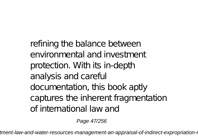refining the balance between environmental and investment protection. With its in-depth analysis and careful documentation, this book aptly captures the inherent fragmentation of international law and

Page 47/256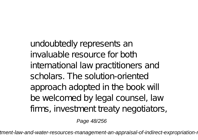undoubtedly represents an invaluable resource for both international law practitioners and scholars. The solution-oriented approach adopted in the book will be welcomed by legal counsel, law firms, investment treaty negotiators,

Page 48/256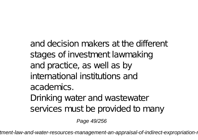and decision makers at the different stages of investment lawmaking and practice, as well as by international institutions and academics. Drinking water and wastewater services must be provided to many

Page 49/256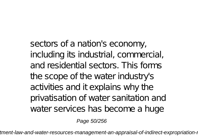sectors of a nation's economy, including its industrial, commercial, and residential sectors. This forms the scope of the water industry's activities and it explains why the privatisation of water sanitation and water services has become a huge

Page 50/256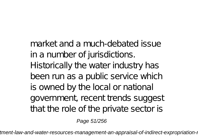market and a much-debated issue in a number of jurisdictions. Historically the water industry has been run as a public service which is owned by the local or national government, recent trends suggest that the role of the private sector is

Page 51/256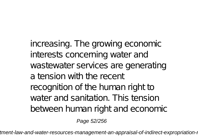increasing. The growing economic interests concerning water and wastewater services are generating a tension with the recent recognition of the human right to water and sanitation. This tension between human right and economic

Page 52/256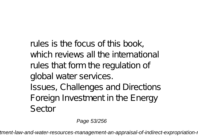rules is the focus of this book, which reviews all the international rules that form the regulation of global water services. Issues, Challenges and Directions Foreign Investment in the Energy Sector

Page 53/256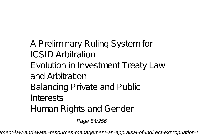A Preliminary Ruling System for ICSID Arbitration Evolution in Investment Treaty Law and Arbitration Balancing Private and Public Interests Human Rights and Gender

Page 54/256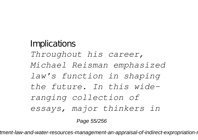## Implications *Throughout his career, Michael Reisman emphasized law's function in shaping the future. In this wideranging collection of essays, major thinkers in*

Page 55/256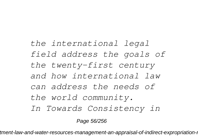## *the international legal field address the goals of the twenty-first century and how international law can address the needs of the world community. In Towards Consistency in*

Page 56/256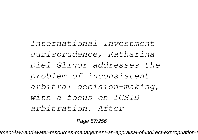*International Investment Jurisprudence, Katharina Diel-Gligor addresses the problem of inconsistent arbitral decision-making, with a focus on ICSID arbitration. After*

Page 57/256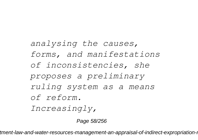## *analysing the causes, forms, and manifestations of inconsistencies, she proposes a preliminary ruling system as a means of reform. Increasingly,*

Page 58/256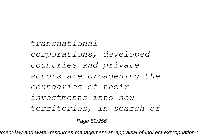## *transnational corporations, developed countries and private actors are broadening the boundaries of their investments into new territories, in search of*

Page 59/256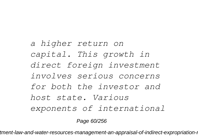*a higher return on capital. This growth in direct foreign investment involves serious concerns for both the investor and host state. Various exponents of international*

Page 60/256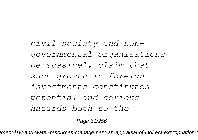*civil society and nongovernmental organisations persuasively claim that such growth in foreign investments constitutes potential and serious hazards both to the*

Page 61/256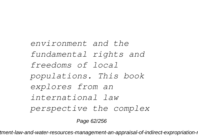*environment and the fundamental rights and freedoms of local populations. This book explores from an international law perspective the complex*

Page 62/256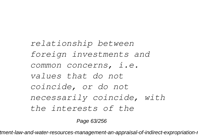*relationship between foreign investments and common concerns, i.e. values that do not coincide, or do not necessarily coincide, with the interests of the*

Page 63/256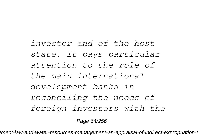*investor and of the host state. It pays particular attention to the role of the main international development banks in reconciling the needs of foreign investors with the*

Page 64/256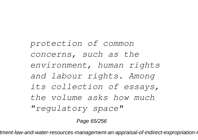*protection of common concerns, such as the environment, human rights and labour rights. Among its collection of essays, the volume asks how much "regulatory space"*

Page 65/256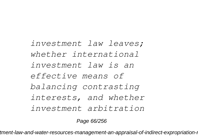*investment law leaves; whether international investment law is an effective means of balancing contrasting interests, and whether investment arbitration*

Page 66/256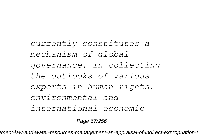*currently constitutes a mechanism of global governance. In collecting the outlooks of various experts in human rights, environmental and international economic*

Page 67/256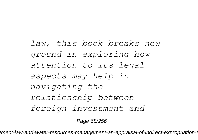*law, this book breaks new ground in exploring how attention to its legal aspects may help in navigating the relationship between foreign investment and*

Page 68/256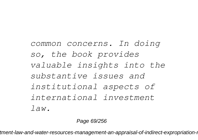*common concerns. In doing so, the book provides valuable insights into the substantive issues and institutional aspects of international investment law.*

Page 69/256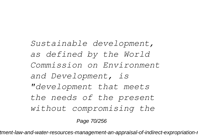*Sustainable development, as defined by the World Commission on Environment and Development, is "development that meets the needs of the present without compromising the*

Page 70/256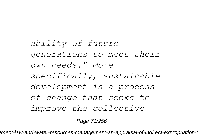*ability of future generations to meet their own needs." More specifically, sustainable development is a process of change that seeks to improve the collective*

Page 71/256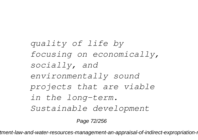*quality of life by focusing on economically, socially, and environmentally sound projects that are viable in the long-term. Sustainable development*

Page 72/256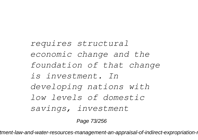*requires structural economic change and the foundation of that change is investment. In developing nations with low levels of domestic savings, investment*

Page 73/256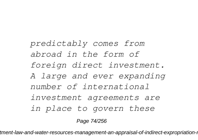*predictably comes from abroad in the form of foreign direct investment. A large and ever expanding number of international investment agreements are in place to govern these*

Page 74/256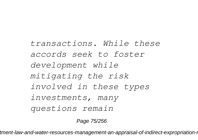*transactions. While these accords seek to foster development while mitigating the risk involved in these types investments, many questions remain*

Page 75/256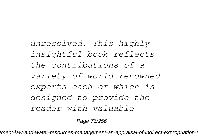*unresolved. This highly insightful book reflects the contributions of a variety of world renowned experts each of which is designed to provide the reader with valuable*

Page 76/256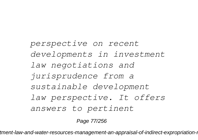*perspective on recent developments in investment law negotiations and jurisprudence from a sustainable development law perspective. It offers answers to pertinent*

Page 77/256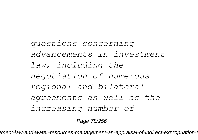*questions concerning advancements in investment law, including the negotiation of numerous regional and bilateral agreements as well as the increasing number of*

Page 78/256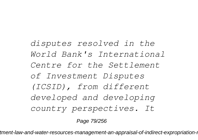*disputes resolved in the World Bank's International Centre for the Settlement of Investment Disputes (ICSID), from different developed and developing country perspectives. It*

Page 79/256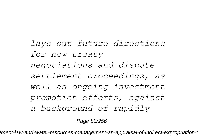*lays out future directions for new treaty negotiations and dispute settlement proceedings, as well as ongoing investment promotion efforts, against a background of rapidly*

Page 80/256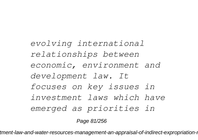*evolving international relationships between economic, environment and development law. It focuses on key issues in investment laws which have emerged as priorities in*

Page 81/256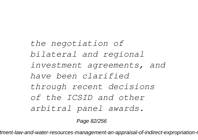*the negotiation of bilateral and regional investment agreements, and have been clarified through recent decisions of the ICSID and other arbitral panel awards.*

Page 82/256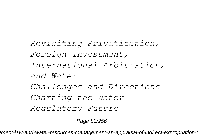*Revisiting Privatization, Foreign Investment, International Arbitration, and Water Challenges and Directions Charting the Water Regulatory Future*

Page 83/256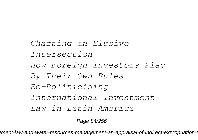*Charting an Elusive Intersection How Foreign Investors Play By Their Own Rules Re-Politicising International Investment Law in Latin America*

Page 84/256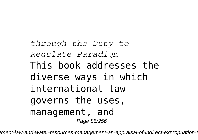*through the Duty to Regulate Paradigm* This book addresses the diverse ways in which international law governs the uses, management, and Page 85/256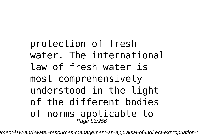protection of fresh water. The international law of fresh water is most comprehensively understood in the light of the different bodies of norms applicable to<br>Page 86/256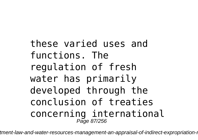these varied uses and functions. The regulation of fresh water has primarily developed through the conclusion of treaties concerning international Page 87/256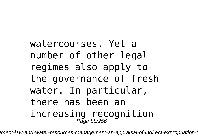watercourses. Yet a number of other legal regimes also apply to the governance of fresh water. In particular, there has been an increasing recognition Page 88/256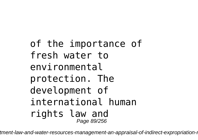of the importance of fresh water to environmental protection. The development of international human rights law and Page 89/256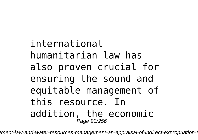# international humanitarian law has also proven crucial for ensuring the sound and equitable management of this resource. In addition, the economic Page 90/256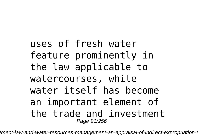# uses of fresh water feature prominently in the law applicable to watercourses, while water itself has become an important element of the trade and investment Page 91/256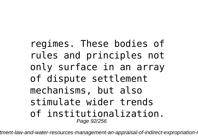regimes. These bodies of rules and principles not only surface in an array of dispute settlement mechanisms, but also stimulate wider trends of institutionalization. Page 92/256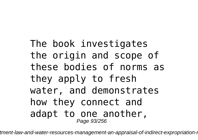## The book investigates the origin and scope of these bodies of norms as they apply to fresh water, and demonstrates how they connect and adapt to one another, Page 93/256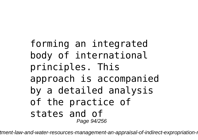### forming an integrated body of international principles. This approach is accompanied by a detailed analysis of the practice of states and of Page 94/256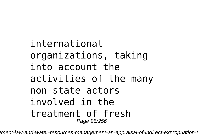# international organizations, taking into account the activities of the many non-state actors involved in the treatment of fresh Page 95/256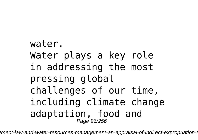# water. Water plays a key role in addressing the most pressing global challenges of our time, including climate change adaptation, food and Page 96/256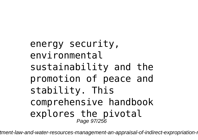energy security, environmental sustainability and the promotion of peace and stability. This comprehensive handbook explores the pivotal<br>Page 97/256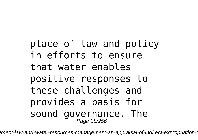## place of law and policy in efforts to ensure that water enables positive responses to these challenges and provides a basis for sound governance. The Page 98/256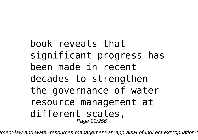book reveals that significant progress has been made in recent decades to strengthen the governance of water resource management at different scales, Page 99/256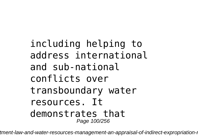## including helping to address international and sub-national conflicts over transboundary water resources. It demonstrates that Page 100/256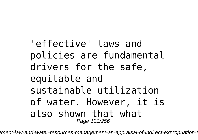'effective' laws and policies are fundamental drivers for the safe, equitable and sustainable utilization of water. However, it is also shown that what Page 101/256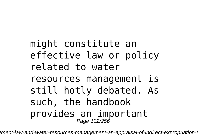# might constitute an effective law or policy related to water resources management is still hotly debated. As such, the handbook provides an important Page 102/256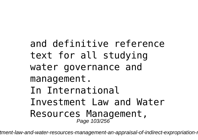and definitive reference text for all studying water governance and management. In International Investment Law and Water Resources Management, Page 103/256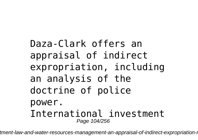# Daza-Clark offers an appraisal of indirect expropriation, including an analysis of the doctrine of police power. International investment Page 104/256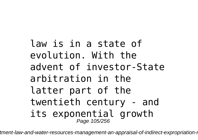law is in a state of evolution. With the advent of investor-State arbitration in the latter part of the twentieth century - and its exponential growth Page 105/256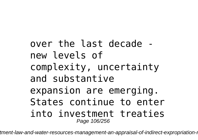over the last decade new levels of complexity, uncertainty and substantive expansion are emerging. States continue to enter into investment treaties Page 106/256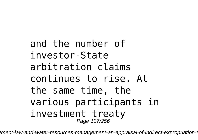and the number of investor-State arbitration claims continues to rise. At the same time, the various participants in investment treaty Page 107/256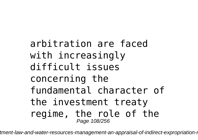arbitration are faced with increasingly difficult issues concerning the fundamental character of the investment treaty regime, the role of the Page 108/256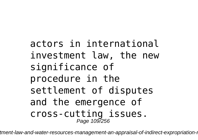actors in international investment law, the new significance of procedure in the settlement of disputes and the emergence of cross-cutting issues. Page 109/256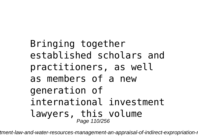# Bringing together established scholars and practitioners, as well as members of a new generation of international investment lawyers, this volume Page 110/256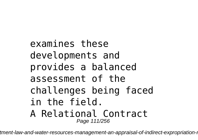examines these developments and provides a balanced assessment of the challenges being faced in the field. A Relational Contract Page 111/256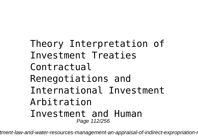Theory Interpretation of Investment Treaties Contractual Renegotiations and International Investment Arbitration Investment and Human Page 112/256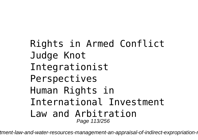Rights in Armed Conflict Judge Knot Integrationist Perspectives Human Rights in International Investment Law and Arbitration Page 113/256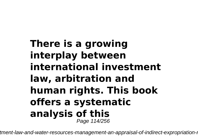#### **There is a growing interplay between international investment law, arbitration and human rights. This book offers a systematic analysis of this** Page 114/256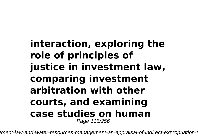#### **interaction, exploring the role of principles of justice in investment law, comparing investment arbitration with other courts, and examining case studies on human** Page 115/256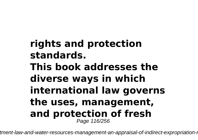#### **rights and protection standards. This book addresses the diverse ways in which international law governs the uses, management, and protection of fresh** Page 116/256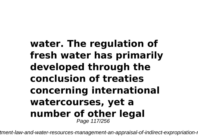#### **water. The regulation of fresh water has primarily developed through the conclusion of treaties concerning international watercourses, yet a number of other legal** Page 117/256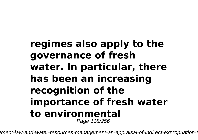#### **regimes also apply to the governance of fresh water. In particular, there has been an increasing recognition of the importance of fresh water to environmental** Page 118/256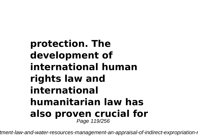#### **protection. The development of international human rights law and international humanitarian law has also proven crucial for** Page 119/256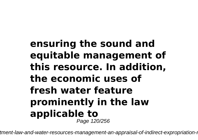#### **ensuring the sound and equitable management of this resource. In addition, the economic uses of fresh water feature prominently in the law applicable to** Page 120/256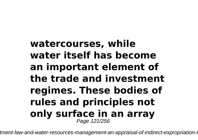#### **watercourses, while water itself has become an important element of the trade and investment regimes. These bodies of rules and principles not only surface in an array** Page 121/256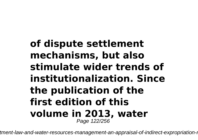#### **of dispute settlement mechanisms, but also stimulate wider trends of institutionalization. Since the publication of the first edition of this volume in 2013, water** Page 122/256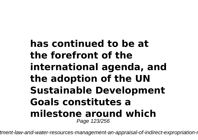#### **has continued to be at the forefront of the international agenda, and the adoption of the UN Sustainable Development Goals constitutes a milestone around which** Page 123/256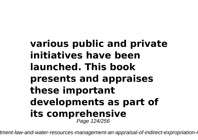#### **various public and private initiatives have been launched. This book presents and appraises these important developments as part of its comprehensive** Page 124/256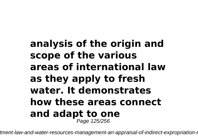#### **analysis of the origin and scope of the various areas of international law as they apply to fresh water. It demonstrates how these areas connect and adapt to one** Page 125/256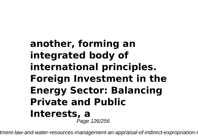#### **another, forming an integrated body of international principles. Foreign Investment in the Energy Sector: Balancing Private and Public Interests, a** Page 126/256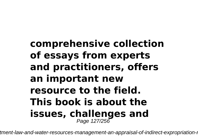#### **comprehensive collection of essays from experts and practitioners, offers an important new resource to the field. This book is about the issues, challenges and** Page 127/256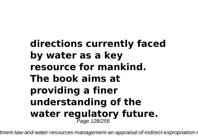# **directions currently faced by water as a key resource for mankind. The book aims at providing a finer understanding of the water regulatory future.** Page 128/256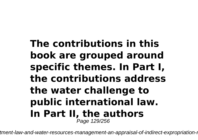#### **The contributions in this book are grouped around specific themes. In Part I, the contributions address the water challenge to public international law. In Part II, the authors** Page 129/256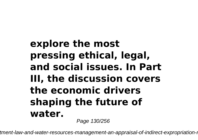### **explore the most pressing ethical, legal, and social issues. In Part III, the discussion covers the economic drivers shaping the future of water.**

Page 130/256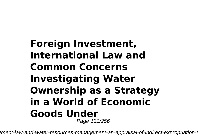#### **Foreign Investment, International Law and Common Concerns Investigating Water Ownership as a Strategy in a World of Economic Goods Under** Page 131/256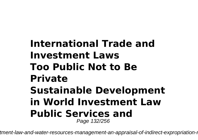#### **International Trade and Investment Laws Too Public Not to Be Private Sustainable Development in World Investment Law Public Services and** Page 132/256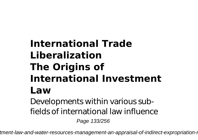### **International Trade Liberalization The Origins of International Investment Law**

Developments within various subfields of international law influence Page 133/256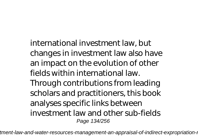international investment law, but changes in investment law also have an impact on the evolution of other fields within international law. Through contributions from leading scholars and practitioners, this book analyses specific links between investment law and other sub-fields Page 134/256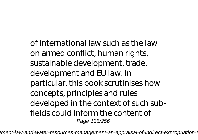of international law such as the law on armed conflict, human rights, sustainable development, trade, development and EU law. In particular, this book scrutinises how concepts, principles and rules developed in the context of such subfields could inform the content of Page 135/256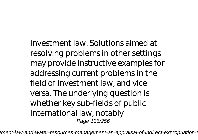investment law. Solutions aimed at resolving problems in other settings may provide instructive examples for addressing current problems in the field of investment law, and vice versa. The underlying question is whether key sub-fields of public international law, notably Page 136/256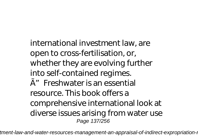international investment law, are open to cross-fertilisation, or, whether they are evolving further into self-contained regimes.  $A''$  Freshwater is an essential resource. This book offers a comprehensive international look at diverse issues arising from water use Page 137/256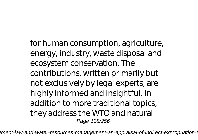for human consumption, agriculture, energy, industry, waste disposal and ecosystem conservation. The contributions, written primarily but not exclusively by legal experts, are highly informed and insightful. In addition to more traditional topics, they address the WTO and natural Page 138/256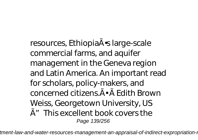resources, EthiopiaA · slarge-scale commercial farms, and aquifer management in the Geneva region and Latin America. An important read for scholars, policy-makers, and concerned citizens.Õ à Edith Brown Weiss, Georgetown University, US  $\tilde{A}''$  This excellent book covers the Page 139/256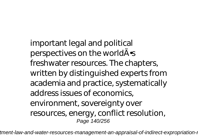important legal and political perspectives on the worldA<sup>.</sup> freshwater resources. The chapters, written by distinguished experts from academia and practice, systematically address issues of economics, environment, sovereignty over resources, energy, conflict resolution, Page 140/256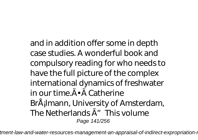and in addition offer some in depth case studies. A wonderful book and compulsory reading for who needs to have the full picture of the complex international dynamics of freshwater in our time  $\tilde{A} \cdot \tilde{A}$  Catherine BrÅ<sub>i</sub>lmann, University of Amsterdam, The Netherlands  $\tilde{A}''$  This volume Page 141/256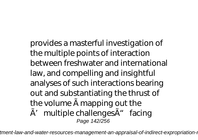provides a masterful investigation of the multiple points of interaction between freshwater and international law, and compelling and insightful analyses of such interactions bearing out and substantiating the thrust of the volume à mapping out the  $\tilde{A}'$  multiple challenges $\tilde{A}''$  facing Page 142/256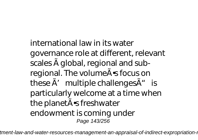international law in its water governance role at different, relevant scales à global, regional and subregional. The volume A · s focus on these  $\tilde{A}'$  multiple challenges $\tilde{A}''$  is particularly welcome at a time when the planet A · s freshwater endowment is coming under Page 143/256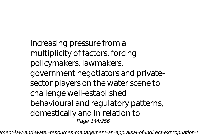increasing pressure from a multiplicity of factors, forcing policymakers, lawmakers, government negotiators and privatesector players on the water scene to challenge well-established behavioural and regulatory patterns, domestically and in relation to Page 144/256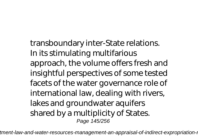transboundary inter-State relations. In its stimulating multifarious approach, the volume offers fresh and insightful perspectives of some tested facets of the water governance role of international law, dealing with rivers, lakes and groundwater aquifers shared by a multiplicity of States. Page 145/256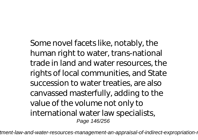Some novel facets like, notably, the human right to water, trans-national trade in land and water resources, the rights of local communities, and State succession to water treaties, are also canvassed masterfully, adding to the value of the volume not only to international water law specialists, Page 146/256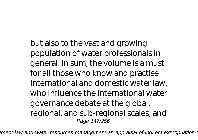but also to the vast and growing population of water professionals in general. In sum, the volume is a must for all those who know and practise international and domestic water law, who influence the international water governance debate at the global, regional, and sub-regional scales, and Page 147/256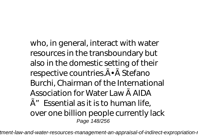who, in general, interact with water resources in the transboundary but also in the domestic setting of their respective countries. A · A Stefano Burchi, Chairman of the International Association for Water Law à AIDA  $\tilde{A}^{\prime\prime}$  Essential as it is to human life, over one billion people currently lack Page 148/256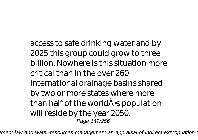access to safe drinking water and by 2025 this group could grow to three billion. Nowhere is this situation more critical than in the over 260 international drainage basins shared by two or more states where more than half of the world $\tilde{A}$  spopulation will reside by the year 2050. Page 149/256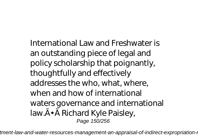International Law and Freshwater is an outstanding piece of legal and policy scholarship that poignantly, thoughtfully and effectively addresses the who, what, where, when and how of international waters governance and international law.Ã • Ã Richard Kyle Paisley, Page 150/256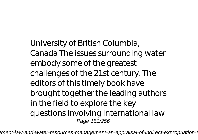University of British Columbia, Canada The issues surrounding water embody some of the greatest challenges of the 21st century. The editors of this timely book have brought together the leading authors in the field to explore the key questions involving international law Page 151/256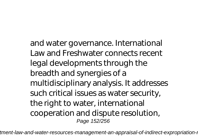and water governance. International Law and Freshwater connects recent legal developments through the breadth and synergies of a multidisciplinary analysis. It addresses such critical issues as water security, the right to water, international cooperation and dispute resolution, Page 152/256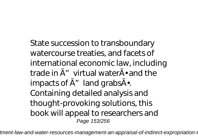State succession to transboundary watercourse treaties, and facets of international economic law, including trade in  $\tilde{A}$ " virtual water $\tilde{A}$  and the impacts of  $\tilde{A}$ " land grabs $\tilde{A}$ . Containing detailed analysis and thought-provoking solutions, this book will appeal to researchers and Page 153/256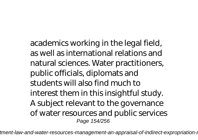academics working in the legal field, as well as international relations and natural sciences. Water practitioners, public officials, diplomats and students will also find much to interest them in this insightful study. A subject relevant to the governance of water resources and public services Page 154/256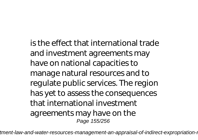is the effect that international trade and investment agreements may have on national capacities to manage natural resources and to regulate public services. The region has yet to assess the consequences that international investment agreements may have on the Page 155/256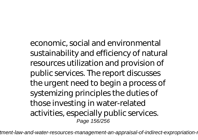economic, social and environmental sustainability and efficiency of natural resources utilization and provision of public services. The report discusses the urgent need to begin a process of systemizing principles the duties of those investing in water-related activities, especially public services. Page 156/256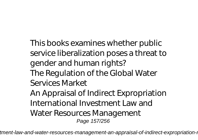This books examines whether public service liberalization poses a threat to gender and human rights? The Regulation of the Global Water Services Market An Appraisal of Indirect Expropriation International Investment Law and Water Resources Management Page 157/256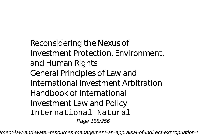Reconsidering the Nexus of Investment Protection, Environment, and Human Rights General Principles of Law and International Investment Arbitration Handbook of International Investment Law and Policy International Natural Page 158/256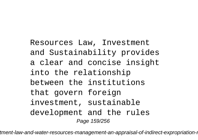Resources Law, Investment and Sustainability provides a clear and concise insight into the relationship between the institutions that govern foreign investment, sustainable development and the rules Page 159/256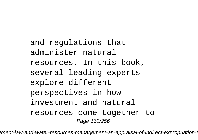and regulations that administer natural resources. In this book, several leading experts explore different perspectives in how investment and natural resources come together to Page 160/256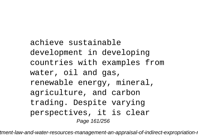achieve sustainable development in developing countries with examples from water, oil and gas, renewable energy, mineral, agriculture, and carbon trading. Despite varying perspectives, it is clear Page 161/256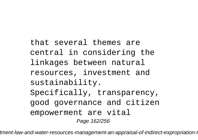that several themes are central in considering the linkages between natural resources, investment and sustainability. Specifically, transparency, good governance and citizen empowerment are vital Page 162/256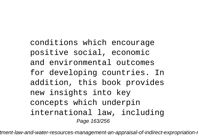conditions which encourage positive social, economic and environmental outcomes for developing countries. In addition, this book provides new insights into key concepts which underpin international law, including Page 163/256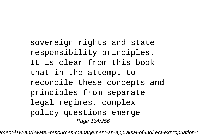sovereign rights and state responsibility principles. It is clear from this book that in the attempt to reconcile these concepts and principles from separate legal regimes, complex policy questions emerge Page 164/256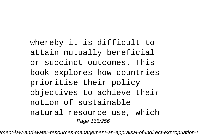whereby it is difficult to attain mutually beneficial or succinct outcomes. This book explores how countries prioritise their policy objectives to achieve their notion of sustainable natural resource use, which Page 165/256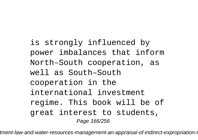is strongly influenced by power imbalances that inform North–South cooperation, as well as South–South cooperation in the international investment regime. This book will be of great interest to students, Page 166/256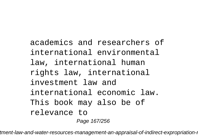academics and researchers of international environmental law, international human rights law, international investment law and international economic law. This book may also be of relevance to Page 167/256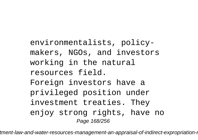environmentalists, policymakers, NGOs, and investors working in the natural resources field. Foreign investors have a privileged position under investment treaties. They enjoy strong rights, have no Page 168/256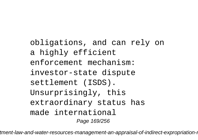obligations, and can rely on a highly efficient enforcement mechanism: investor-state dispute settlement (ISDS). Unsurprisingly, this extraordinary status has made international Page 169/256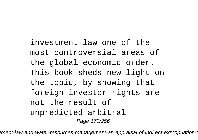investment law one of the most controversial areas of the global economic order. This book sheds new light on the topic, by showing that foreign investor rights are not the result of unpredicted arbitral Page 170/256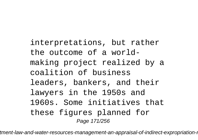interpretations, but rather the outcome of a worldmaking project realized by a coalition of business leaders, bankers, and their lawyers in the 1950s and 1960s. Some initiatives that these figures planned for Page 171/256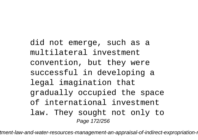did not emerge, such as a multilateral investment convention, but they were successful in developing a legal imagination that gradually occupied the space of international investment law. They sought not only to Page 172/256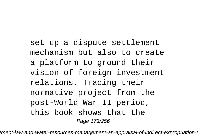set up a dispute settlement mechanism but also to create a platform to ground their vision of foreign investment relations. Tracing their normative project from the post-World War II period, this book shows that the Page 173/256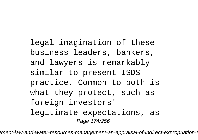legal imagination of these business leaders, bankers, and lawyers is remarkably similar to present ISDS practice. Common to both is what they protect, such as foreign investors' legitimate expectations, as Page 174/256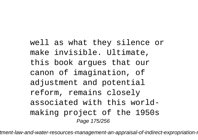well as what they silence or make invisible. Ultimate, this book argues that our canon of imagination, of adjustment and potential reform, remains closely associated with this worldmaking project of the 1950s Page 175/256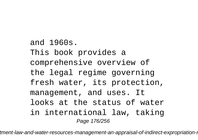and 1960s. This book provides a comprehensive overview of the legal regime governing fresh water, its protection, management, and uses. It looks at the status of water in international law, taking Page 176/256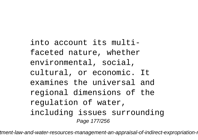into account its multifaceted nature, whether environmental, social, cultural, or economic. It examines the universal and regional dimensions of the regulation of water, including issues surrounding Page 177/256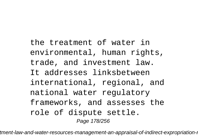the treatment of water in environmental, human rights, trade, and investment law. It addresses linksbetween international, regional, and national water regulatory frameworks, and assesses the role of dispute settle. Page 178/256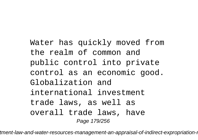Water has quickly moved from the realm of common and public control into private control as an economic good. Globalization and international investment trade laws, as well as overall trade laws, have Page 179/256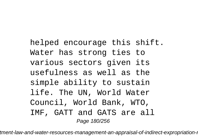helped encourage this shift. Water has strong ties to various sectors given its usefulness as well as the simple ability to sustain life. The UN, World Water Council, World Bank, WTO, IMF, GATT and GATS are all Page 180/256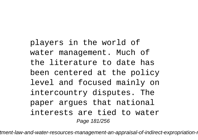players in the world of water management. Much of the literature to date has been centered at the policy level and focused mainly on intercountry disputes. The paper argues that national interests are tied to water Page 181/256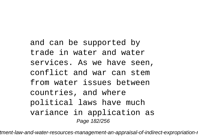and can be supported by trade in water and water services. As we have seen, conflict and war can stem from water issues between countries, and where political laws have much variance in application as Page 182/256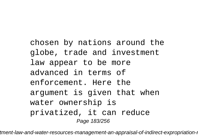chosen by nations around the globe, trade and investment law appear to be more advanced in terms of enforcement. Here the argument is given that when water ownership is privatized, it can reduce Page 183/256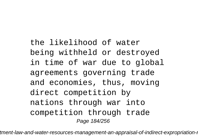the likelihood of water being withheld or destroyed in time of war due to global agreements governing trade and economies, thus, moving direct competition by nations through war into competition through trade Page 184/256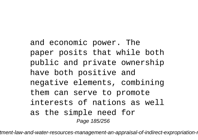and economic power. The paper posits that while both public and private ownership have both positive and negative elements, combining them can serve to promote interests of nations as well as the simple need for Page 185/256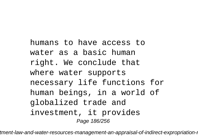humans to have access to water as a basic human right. We conclude that where water supports necessary life functions for human beings, in a world of globalized trade and investment, it provides Page 186/256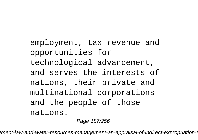employment, tax revenue and opportunities for technological advancement, and serves the interests of nations, their private and multinational corporations and the people of those nations.

Page 187/256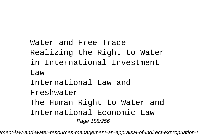Water and Free Trade Realizing the Right to Water in International Investment Law International Law and Freshwater The Human Right to Water and International Economic Law Page 188/256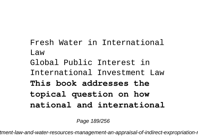Fresh Water in International Law Global Public Interest in International Investment Law **This book addresses the topical question on how national and international**

Page 189/256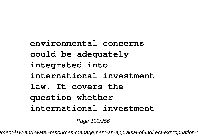**environmental concerns could be adequately integrated into international investment law. It covers the question whether international investment**

Page 190/256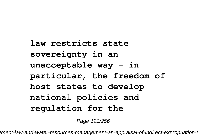**law restricts state sovereignty in an unacceptable way - in particular, the freedom of host states to develop national policies and regulation for the**

Page 191/256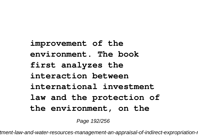**improvement of the environment. The book first analyzes the interaction between international investment law and the protection of the environment, on the**

Page 192/256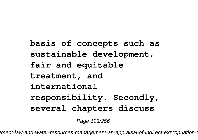**basis of concepts such as sustainable development, fair and equitable treatment, and international responsibility. Secondly, several chapters discuss**

Page 193/256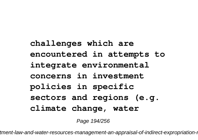**challenges which are encountered in attempts to integrate environmental concerns in investment policies in specific sectors and regions (e.g. climate change, water**

Page 194/256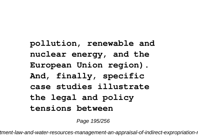**pollution, renewable and nuclear energy, and the European Union region). And, finally, specific case studies illustrate the legal and policy tensions between**

Page 195/256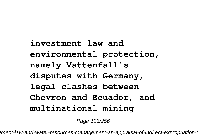**investment law and environmental protection, namely Vattenfall's disputes with Germany, legal clashes between Chevron and Ecuador, and multinational mining**

Page 196/256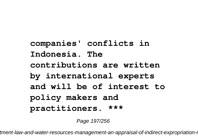**companies' conflicts in Indonesia. The contributions are written by international experts and will be of interest to policy makers and practitioners. \*\*\***

Page 197/256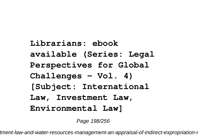**Librarians: ebook available (Series: Legal Perspectives for Global Challenges - Vol. 4) [Subject: International Law, Investment Law, Environmental Law]**

Page 198/256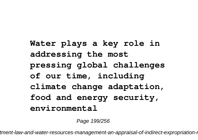**Water plays a key role in addressing the most pressing global challenges of our time, including climate change adaptation, food and energy security, environmental**

Page 199/256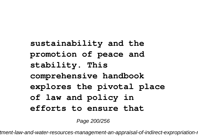**sustainability and the promotion of peace and stability. This comprehensive handbook explores the pivotal place of law and policy in efforts to ensure that**

Page 200/256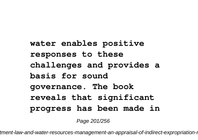**water enables positive responses to these challenges and provides a basis for sound governance. The book reveals that significant progress has been made in**

Page 201/256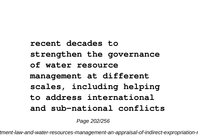**recent decades to strengthen the governance of water resource management at different scales, including helping to address international and sub-national conflicts**

Page 202/256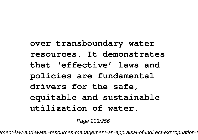**over transboundary water resources. It demonstrates that 'effective' laws and policies are fundamental drivers for the safe, equitable and sustainable utilization of water.**

Page 203/256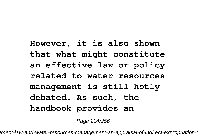**However, it is also shown that what might constitute an effective law or policy related to water resources management is still hotly debated. As such, the handbook provides an**

Page 204/256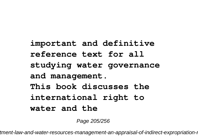**important and definitive reference text for all studying water governance and management. This book discusses the international right to water and the**

Page 205/256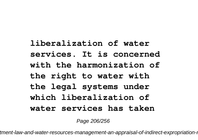## **liberalization of water services. It is concerned with the harmonization of the right to water with the legal systems under which liberalization of water services has taken**

Page 206/256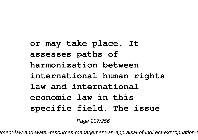**or may take place. It assesses paths of harmonization between international human rights law and international economic law in this specific field. The issue**

Page 207/256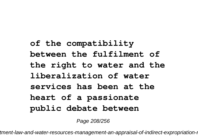**of the compatibility between the fulfilment of the right to water and the liberalization of water services has been at the heart of a passionate public debate between**

Page 208/256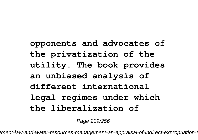**opponents and advocates of the privatization of the utility. The book provides an unbiased analysis of different international legal regimes under which the liberalization of**

Page 209/256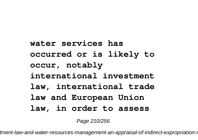**water services has occurred or is likely to occur, notably international investment law, international trade law and European Union law, in order to assess**

Page 210/256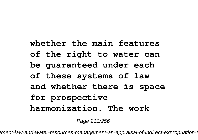## **whether the main features of the right to water can be guaranteed under each of these systems of law and whether there is space for prospective harmonization. The work**

Page 211/256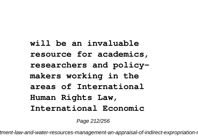**will be an invaluable resource for academics, researchers and policymakers working in the areas of International Human Rights Law, International Economic**

Page 212/256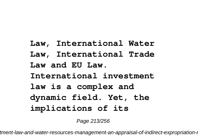**Law, International Water Law, International Trade Law and EU Law. International investment law is a complex and dynamic field. Yet, the implications of its**

Page 213/256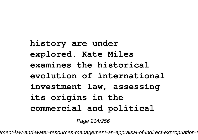**history are under explored. Kate Miles examines the historical evolution of international investment law, assessing its origins in the commercial and political**

Page 214/256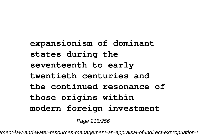**expansionism of dominant states during the seventeenth to early twentieth centuries and the continued resonance of those origins within modern foreign investment**

Page 215/256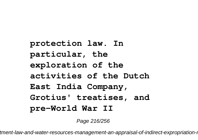**protection law. In particular, the exploration of the activities of the Dutch East India Company, Grotius' treatises, and pre-World War II**

Page 216/256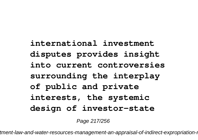## **international investment disputes provides insight into current controversies surrounding the interplay of public and private interests, the systemic design of investor-state**

Page 217/256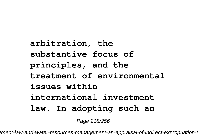**arbitration, the substantive focus of principles, and the treatment of environmental issues within international investment law. In adopting such an**

Page 218/256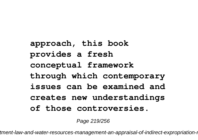**approach, this book provides a fresh conceptual framework through which contemporary issues can be examined and creates new understandings of those controversies.**

Page 219/256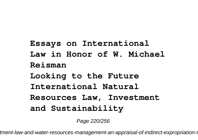**Essays on International Law in Honor of W. Michael Reisman Looking to the Future International Natural Resources Law, Investment and Sustainability**

Page 220/256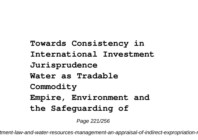**Towards Consistency in International Investment Jurisprudence Water as Tradable Commodity Empire, Environment and the Safeguarding of**

Page 221/256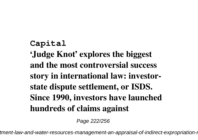## **Capital 'Judge Knot' explores the biggest and the most controversial success story in international law: investorstate dispute settlement, or ISDS. Since 1990, investors have launched hundreds of claims against**

Page 222/256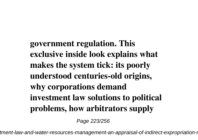**government regulation. This exclusive inside look explains what makes the system tick: its poorly understood centuries-old origins, why corporations demand investment law solutions to political problems, how arbitrators supply**

Page 223/256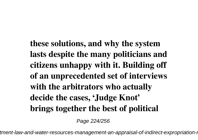**these solutions, and why the system lasts despite the many politicians and citizens unhappy with it. Building off of an unprecedented set of interviews with the arbitrators who actually decide the cases, 'Judge Knot' brings together the best of political**

Page 224/256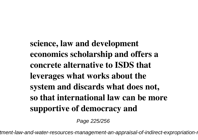**science, law and development economics scholarship and offers a concrete alternative to ISDS that leverages what works about the system and discards what does not, so that international law can be more supportive of democracy and**

Page 225/256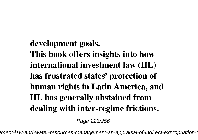## **development goals. This book offers insights into how international investment law (IIL) has frustrated states' protection of human rights in Latin America, and IIL has generally abstained from dealing with inter-regime frictions.**

Page 226/256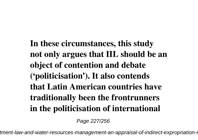**In these circumstances, this study not only argues that IIL should be an object of contention and debate ('politicisation'). It also contends that Latin American countries have traditionally been the frontrunners in the politicisation of international**

Page 227/256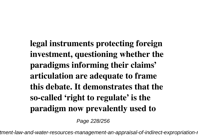**legal instruments protecting foreign investment, questioning whether the paradigms informing their claims' articulation are adequate to frame this debate. It demonstrates that the so-called 'right to regulate' is the paradigm now prevalently used to**

Page 228/256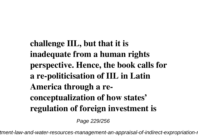**challenge IIL, but that it is inadequate from a human rights perspective. Hence, the book calls for a re-politicisation of IIL in Latin America through a reconceptualization of how states' regulation of foreign investment is**

Page 229/256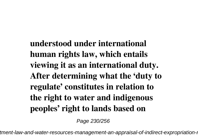**understood under international human rights law, which entails viewing it as an international duty. After determining what the 'duty to regulate' constitutes in relation to the right to water and indigenous peoples' right to lands based on**

Page 230/256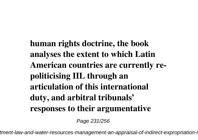**human rights doctrine, the book analyses the extent to which Latin American countries are currently repoliticising IIL through an articulation of this international duty, and arbitral tribunals' responses to their argumentative**

Page 231/256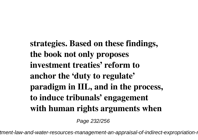**strategies. Based on these findings, the book not only proposes investment treaties' reform to anchor the 'duty to regulate' paradigm in IIL, and in the process, to induce tribunals' engagement with human rights arguments when**

Page 232/256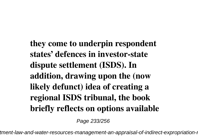**they come to underpin respondent states' defences in investor-state dispute settlement (ISDS). In addition, drawing upon the (now likely defunct) idea of creating a regional ISDS tribunal, the book briefly reflects on options available**

Page 233/256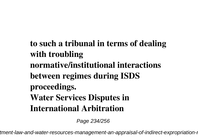**to such a tribunal in terms of dealing with troubling normative/institutional interactions between regimes during ISDS proceedings. Water Services Disputes in International Arbitration**

Page 234/256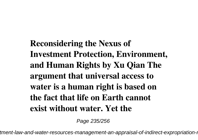**Reconsidering the Nexus of Investment Protection, Environment, and Human Rights by Xu Qian The argument that universal access to water is a human right is based on the fact that life on Earth cannot exist without water. Yet the**

Page 235/256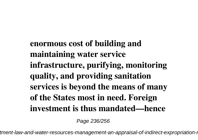**enormous cost of building and maintaining water service infrastructure, purifying, monitoring quality, and providing sanitation services is beyond the means of many of the States most in need. Foreign investment is thus mandated—hence**

Page 236/256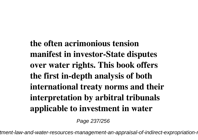**the often acrimonious tension manifest in investor-State disputes over water rights. This book offers the first in-depth analysis of both international treaty norms and their interpretation by arbitral tribunals applicable to investment in water**

Page 237/256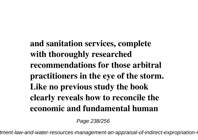**and sanitation services, complete with thoroughly researched recommendations for those arbitral practitioners in the eye of the storm. Like no previous study the book clearly reveals how to reconcile the economic and fundamental human**

Page 238/256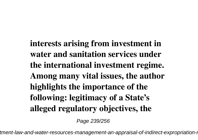**interests arising from investment in water and sanitation services under the international investment regime. Among many vital issues, the author highlights the importance of the following: legitimacy of a State's alleged regulatory objectives, the**

Page 239/256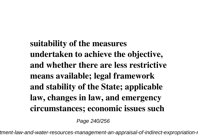**suitability of the measures undertaken to achieve the objective, and whether there are less restrictive means available; legal framework and stability of the State; applicable law, changes in law, and emergency circumstances; economic issues such**

Page 240/256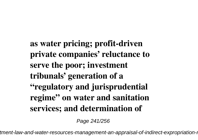**as water pricing; profit-driven private companies' reluctance to serve the poor; investment tribunals' generation of a "regulatory and jurisprudential regime" on water and sanitation services; and determination of**

Page 241/256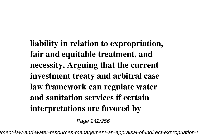**liability in relation to expropriation, fair and equitable treatment, and necessity. Arguing that the current investment treaty and arbitral case law framework can regulate water and sanitation services if certain interpretations are favored by**

Page 242/256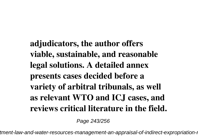**adjudicators, the author offers viable, sustainable, and reasonable legal solutions. A detailed annex presents cases decided before a variety of arbitral tribunals, as well as relevant WTO and ICJ cases, and reviews critical literature in the field.**

Page 243/256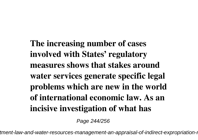**The increasing number of cases involved with States' regulatory measures shows that stakes around water services generate specific legal problems which are new in the world of international economic law. As an incisive investigation of what has**

Page 244/256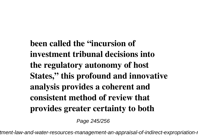**been called the "incursion of investment tribunal decisions into the regulatory autonomy of host States," this profound and innovative analysis provides a coherent and consistent method of review that provides greater certainty to both**

Page 245/256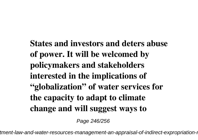**States and investors and deters abuse of power. It will be welcomed by policymakers and stakeholders interested in the implications of "globalization" of water services for the capacity to adapt to climate change and will suggest ways to**

Page 246/256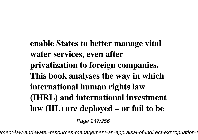**enable States to better manage vital water services, even after privatization to foreign companies. This book analyses the way in which international human rights law (IHRL) and international investment law (IIL) are deployed – or fail to be**

Page 247/256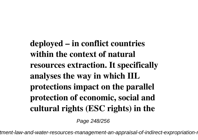**deployed – in conflict countries within the context of natural resources extraction. It specifically analyses the way in which IIL protections impact on the parallel protection of economic, social and cultural rights (ESC rights) in the**

Page 248/256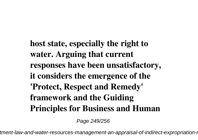**host state, especially the right to water. Arguing that current responses have been unsatisfactory, it considers the emergence of the 'Protect, Respect and Remedy' framework and the Guiding Principles for Business and Human**

Page 249/256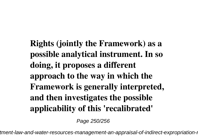**Rights (jointly the Framework) as a possible analytical instrument. In so doing, it proposes a different approach to the way in which the Framework is generally interpreted, and then investigates the possible applicability of this 'recalibrated'**

Page 250/256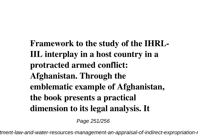**Framework to the study of the IHRL-IIL interplay in a host country in a protracted armed conflict: Afghanistan. Through the emblematic example of Afghanistan, the book presents a practical dimension to its legal analysis. It**

Page 251/256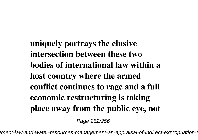**uniquely portrays the elusive intersection between these two bodies of international law within a host country where the armed conflict continues to rage and a full economic restructuring is taking place away from the public eye, not**

Page 252/256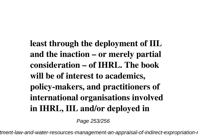**least through the deployment of IIL and the inaction – or merely partial consideration – of IHRL. The book will be of interest to academics, policy-makers, and practitioners of international organisations involved in IHRL, IIL and/or deployed in**

Page 253/256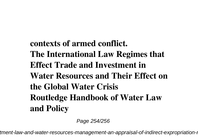**contexts of armed conflict. The International Law Regimes that Effect Trade and Investment in Water Resources and Their Effect on the Global Water Crisis Routledge Handbook of Water Law and Policy**

Page 254/256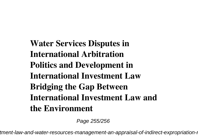**Water Services Disputes in International Arbitration Politics and Development in International Investment Law Bridging the Gap Between International Investment Law and the Environment**

Page 255/256